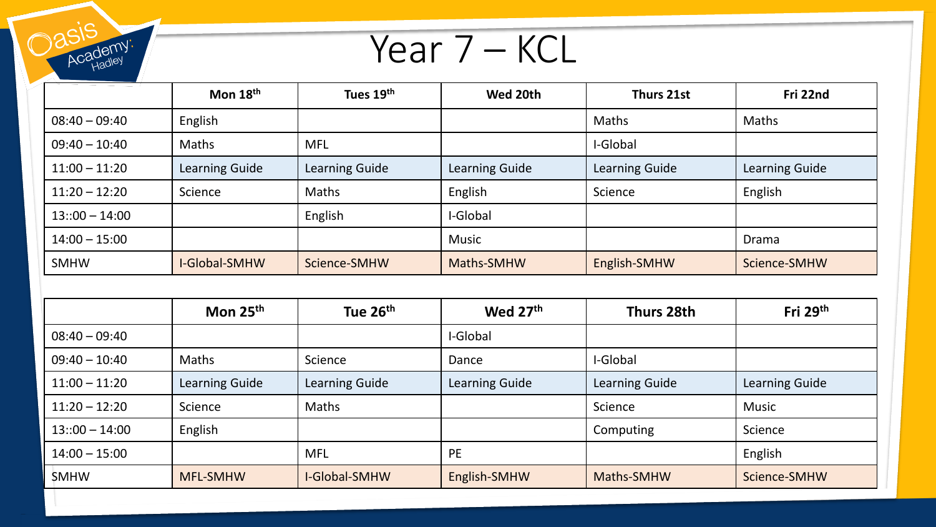Year 7 – KCL

|                  | Mon 18 <sup>th</sup> | Tues 19th      | Wed 20th       | Thurs 21st     | Fri 22nd       |
|------------------|----------------------|----------------|----------------|----------------|----------------|
| $08:40 - 09:40$  | English              |                |                | Maths          | Maths          |
| $09:40 - 10:40$  | Maths                | <b>MFL</b>     |                | I-Global       |                |
| $11:00 - 11:20$  | Learning Guide       | Learning Guide | Learning Guide | Learning Guide | Learning Guide |
| $11:20 - 12:20$  | Science              | Maths          | English        | Science        | English        |
| $13::00 - 14:00$ |                      | English        | I-Global       |                |                |
| $14:00 - 15:00$  |                      |                | <b>Music</b>   |                | <b>Drama</b>   |
| <b>SMHW</b>      | <b>I-Global-SMHW</b> | Science-SMHW   | Maths-SMHW     | English-SMHW   | Science-SMHW   |

|                  | Mon 25 <sup>th</sup> | Tue 26 <sup>th</sup> | Wed 27 <sup>th</sup> | Thurs 28th     | Fri 29th       |
|------------------|----------------------|----------------------|----------------------|----------------|----------------|
| $08:40 - 09:40$  |                      |                      | I-Global             |                |                |
| $09:40 - 10:40$  | Maths                | Science              | Dance                | I-Global       |                |
| $11:00 - 11:20$  | Learning Guide       | Learning Guide       | Learning Guide       | Learning Guide | Learning Guide |
| $11:20 - 12:20$  | Science              | Maths                |                      | Science        | <b>Music</b>   |
| $13::00 - 14:00$ | English              |                      |                      | Computing      | Science        |
| $14:00 - 15:00$  |                      | <b>MFL</b>           | <b>PE</b>            |                | English        |
| <b>SMHW</b>      | <b>MFL-SMHW</b>      | <b>I-Global-SMHW</b> | English-SMHW         | Maths-SMHW     | Science-SMHW   |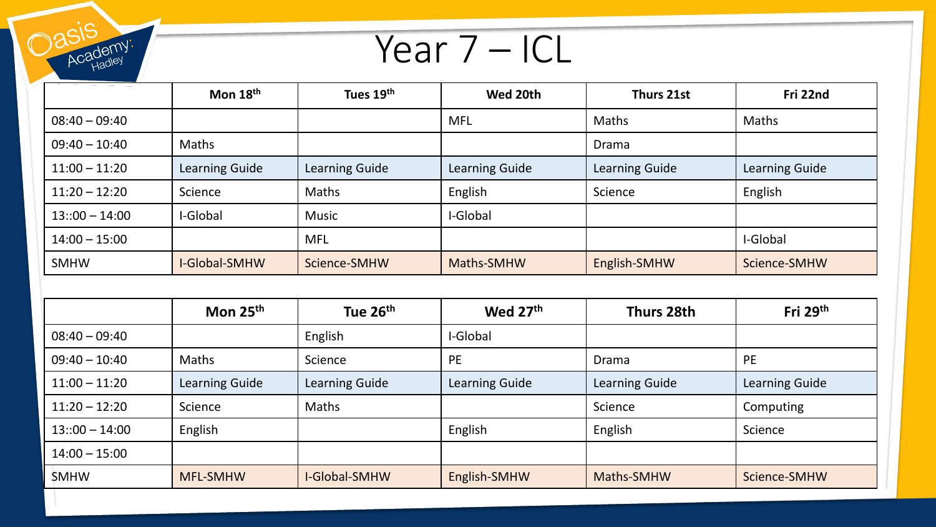Year 7 – ICL

**Oasis** 

|                  | Mon 18 <sup>th</sup> | Tues 19th      | Wed 20th       | Thurs 21st     | Fri 22nd       |
|------------------|----------------------|----------------|----------------|----------------|----------------|
| $08:40 - 09:40$  |                      |                | <b>MFL</b>     | Maths          | Maths          |
| $09:40 - 10:40$  | Maths                |                |                | Drama          |                |
| $11:00 - 11:20$  | Learning Guide       | Learning Guide | Learning Guide | Learning Guide | Learning Guide |
| $11:20 - 12:20$  | Science              | Maths          | English        | Science        | English        |
| $13::00 - 14:00$ | -Global              | <b>Music</b>   | I-Global       |                |                |
| $14:00 - 15:00$  |                      | <b>MFL</b>     |                |                | I-Global       |
| <b>SMHW</b>      | <b>I-Global-SMHW</b> | Science-SMHW   | Maths-SMHW     | English-SMHW   | Science-SMHW   |

|                  | Mon $25th$      | Tue 26 <sup>th</sup> | Wed 27th       | Thurs 28th     | Fri 29th       |
|------------------|-----------------|----------------------|----------------|----------------|----------------|
| $08:40 - 09:40$  |                 | English              | I-Global       |                |                |
| $09:40 - 10:40$  | Maths           | Science              | PE             | Drama          | <b>PE</b>      |
| $11:00 - 11:20$  | Learning Guide  | Learning Guide       | Learning Guide | Learning Guide | Learning Guide |
| $11:20 - 12:20$  | Science         | <b>Maths</b>         |                | Science        | Computing      |
| $13::00 - 14:00$ | English         |                      | English        | English        | Science        |
| $14:00 - 15:00$  |                 |                      |                |                |                |
| <b>SMHW</b>      | <b>MFL-SMHW</b> | <b>I-Global-SMHW</b> | English-SMHW   | Maths-SMHW     | Science-SMHW   |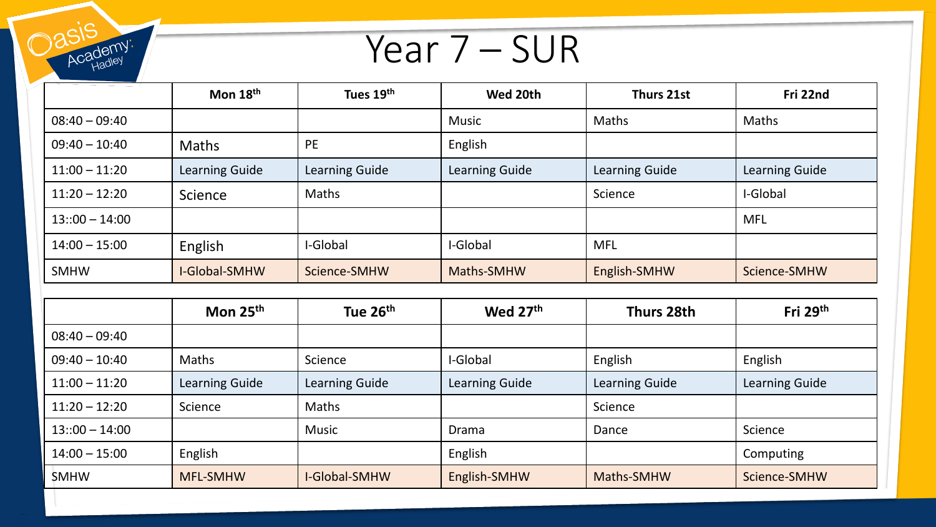Year 7 – SUR

|                  | Mon 18th             | Tues 19th             | Wed 20th              | Thurs 21st     | Fri 22nd              |
|------------------|----------------------|-----------------------|-----------------------|----------------|-----------------------|
| $08:40 - 09:40$  |                      |                       | <b>Music</b>          | Maths          | Maths                 |
| $09:40 - 10:40$  | <b>Maths</b>         | <b>PE</b>             | English               |                |                       |
| $11:00 - 11:20$  | Learning Guide       | Learning Guide        | <b>Learning Guide</b> | Learning Guide | Learning Guide        |
| $11:20 - 12:20$  | Science              | <b>Maths</b>          |                       | Science        | I-Global              |
| $13::00 - 14:00$ |                      |                       |                       |                | <b>MFL</b>            |
| $14:00 - 15:00$  | English              | I-Global              | I-Global              | <b>MFL</b>     |                       |
| <b>SMHW</b>      | <b>I-Global-SMHW</b> | Science-SMHW          | Maths-SMHW            | English-SMHW   | Science-SMHW          |
|                  |                      |                       |                       |                |                       |
|                  | Mon 25th             | Tue 26 <sup>th</sup>  | Wed 27th              | Thurs 28th     | Fri 29th              |
| $08:40 - 09:40$  |                      |                       |                       |                |                       |
| $09:40 - 10:40$  | <b>Maths</b>         | Science               | I-Global              | English        | English               |
| $11:00 - 11:20$  | Learning Guide       | <b>Learning Guide</b> | Learning Guide        | Learning Guide | <b>Learning Guide</b> |
| $11:20 - 12:20$  | Science              | <b>Maths</b>          |                       | Science        |                       |
| $13::00 - 14:00$ |                      | <b>Music</b>          | Drama                 | Dance          | Science               |
| $14:00 - 15:00$  | English              |                       | English               |                | Computing             |
| <b>SMHW</b>      | <b>MFL-SMHW</b>      | <b>I-Global-SMHW</b>  | English-SMHW          | Maths-SMHW     | Science-SMHW          |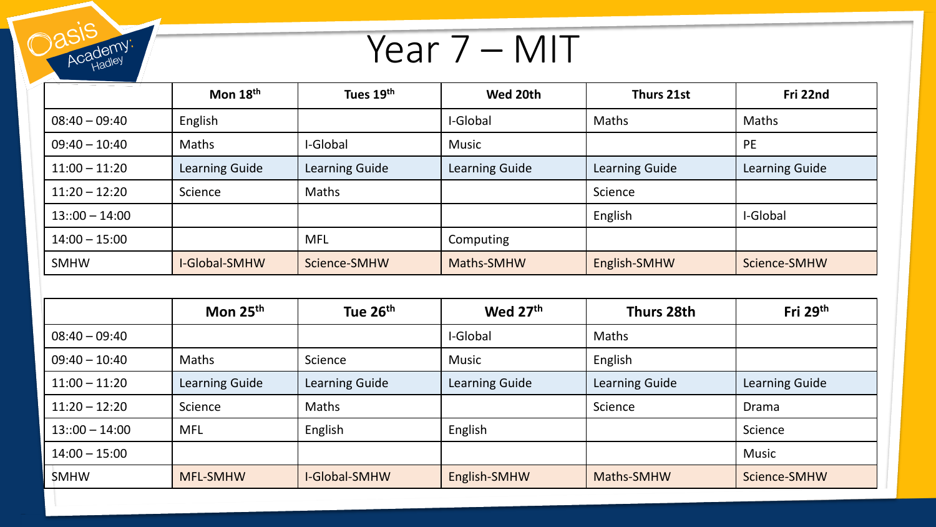Year 7 – MIT

|                  | Mon 18 <sup>th</sup> | Tues 19th      | Wed 20th       | Thurs 21st     | Fri 22nd       |
|------------------|----------------------|----------------|----------------|----------------|----------------|
| $08:40 - 09:40$  | English              |                | I-Global       | Maths          | Maths          |
| $09:40 - 10:40$  | Maths                | I-Global       | <b>Music</b>   |                | <b>PE</b>      |
| $11:00 - 11:20$  | Learning Guide       | Learning Guide | Learning Guide | Learning Guide | Learning Guide |
| $11:20 - 12:20$  | Science              | <b>Maths</b>   |                | Science        |                |
| $13::00 - 14:00$ |                      |                |                | English        | I-Global       |
| $14:00 - 15:00$  |                      | <b>MFL</b>     | Computing      |                |                |
| <b>SMHW</b>      | <b>I-Global-SMHW</b> | Science-SMHW   | Maths-SMHW     | English-SMHW   | Science-SMHW   |

|                  | Mon $25th$      | Tue 26 <sup>th</sup> | Wed 27th       | Thurs 28th     | Fri 29th       |
|------------------|-----------------|----------------------|----------------|----------------|----------------|
| $08:40 - 09:40$  |                 |                      | I-Global       | Maths          |                |
| $09:40 - 10:40$  | <b>Maths</b>    | Science              | Music          | English        |                |
| $11:00 - 11:20$  | Learning Guide  | Learning Guide       | Learning Guide | Learning Guide | Learning Guide |
| $11:20 - 12:20$  | Science         | <b>Maths</b>         |                | Science        | Drama          |
| $13::00 - 14:00$ | <b>MFL</b>      | English              | English        |                | Science        |
| $14:00 - 15:00$  |                 |                      |                |                | <b>Music</b>   |
| <b>SMHW</b>      | <b>MFL-SMHW</b> | <b>I-Global-SMHW</b> | English-SMHW   | Maths-SMHW     | Science-SMHW   |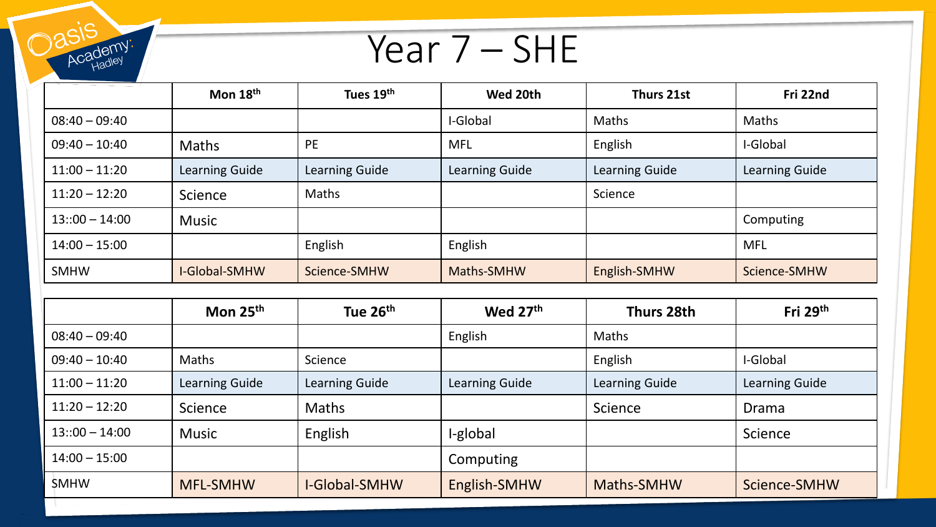Year 7 – SHE

| Dasis<br>Academy: | Year 7 – SHE          |                       |                       |                       |                       |  |  |  |
|-------------------|-----------------------|-----------------------|-----------------------|-----------------------|-----------------------|--|--|--|
|                   | Mon 18th              | Tues 19th             | Wed 20th              | Thurs 21st            | Fri 22nd              |  |  |  |
| $08:40 - 09:40$   |                       |                       | I-Global              | <b>Maths</b>          | <b>Maths</b>          |  |  |  |
| $09:40 - 10:40$   | <b>Maths</b>          | <b>PE</b>             | <b>MFL</b>            | English               | I-Global              |  |  |  |
| $11:00 - 11:20$   | Learning Guide        | Learning Guide        | Learning Guide        | <b>Learning Guide</b> | <b>Learning Guide</b> |  |  |  |
| $11:20 - 12:20$   | Science               | Maths                 |                       | Science               |                       |  |  |  |
| $13::00 - 14:00$  | <b>Music</b>          |                       |                       |                       | Computing             |  |  |  |
| $14:00 - 15:00$   |                       | English               | English               |                       | <b>MFL</b>            |  |  |  |
| <b>SMHW</b>       | <b>I-Global-SMHW</b>  | Science-SMHW          | Maths-SMHW            | English-SMHW          | Science-SMHW          |  |  |  |
|                   |                       |                       |                       |                       |                       |  |  |  |
|                   | Mon $25th$            | Tue 26th              | Wed 27th              | <b>Thurs 28th</b>     | Fri 29th              |  |  |  |
| $08:40 - 09:40$   |                       |                       | English               | <b>Maths</b>          |                       |  |  |  |
| $09:40 - 10:40$   | <b>Maths</b>          | Science               |                       | English               | I-Global              |  |  |  |
| $11:00 - 11:20$   | <b>Learning Guide</b> | <b>Learning Guide</b> | <b>Learning Guide</b> | <b>Learning Guide</b> | <b>Learning Guide</b> |  |  |  |
| $11:20 - 12:20$   | Science               | <b>Maths</b>          |                       | Science               | Drama                 |  |  |  |
| $13::00 - 14:00$  | <b>Music</b>          | English               | I-global              |                       | Science               |  |  |  |
| $14:00 - 15:00$   |                       |                       | Computing             |                       |                       |  |  |  |
| <b>SMHW</b>       | <b>MFL-SMHW</b>       | <b>I-Global-SMHW</b>  | English-SMHW          | <b>Maths-SMHW</b>     | Science-SMHW          |  |  |  |